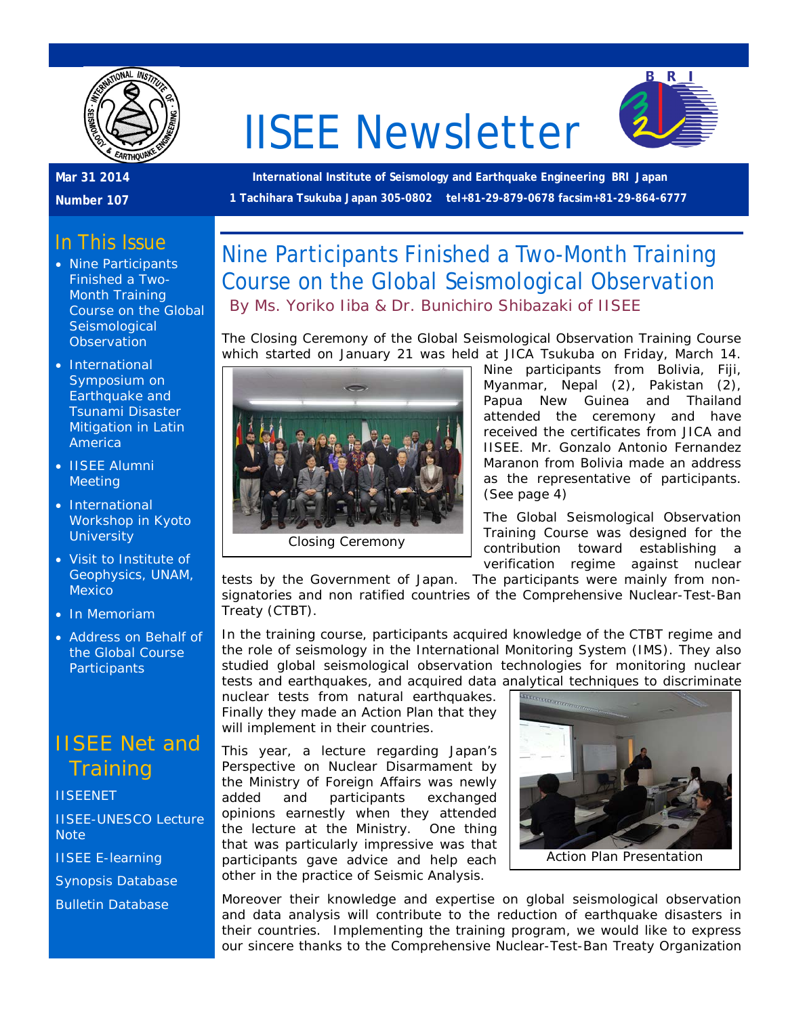

# IISEE Newsletter



### **Mar 31 2014**

**Number 107**

**International Institute of Seismology and Earthquake Engineering BRI Japan 1 Tachihara Tsukuba Japan 305-0802 tel+81-29-879-0678 facsim+81-29-864-6777**

### In This Issue

- Nine Participants Finished a Two-Month Training Course on the Global **Seismological Observation**
- International Symposium on Earthquake and Tsunami Disaster Mitigation in Latin America
- IISEE Alumni **Meeting**
- International Workshop in Kyoto **University**
- Visit to Institute of Geophysics, UNAM, Mexico
- In Memoriam
- Address on Behalf of the Global Course **Participants**

### IISEE Net and **Training**

**[IISEENET](http://iisee.kenken.go.jp/net/)** [IISEE-UNESCO Lecture](http://iisee/lna/)  **[Note](http://iisee/lna/)** [IISEE E-learning](http://iisee/el/) [Synopsis Database](http://iisee/syndb/) [Bulletin Database](http://iisee/bltndb/)

### Nine Participants Finished a Two-Month Training Course on the Global Seismological Observation *By Ms. Yoriko Iiba & Dr. Bunichiro Shibazaki of IISEE*

The Closing Ceremony of the Global Seismological Observation Training Course which started on January 21 was held at JICA Tsukuba on Friday, March 14.



Nine participants from Bolivia, Fiji, Myanmar, Nepal (2), Pakistan (2), Papua New Guinea and Thailand attended the ceremony and have received the certificates from JICA and IISEE. Mr. Gonzalo Antonio Fernandez Maranon from Bolivia made an address as the representative of participants. (See page 4)

The Global Seismological Observation Training Course was designed for the contribution toward establishing a verification regime against nuclear

tests by the Government of Japan. The participants were mainly from nonsignatories and non ratified countries of the Comprehensive Nuclear-Test-Ban Treaty (CTBT).

In the training course, participants acquired knowledge of the CTBT regime and the role of seismology in the International Monitoring System (IMS). They also studied global seismological observation technologies for monitoring nuclear tests and earthquakes, and acquired data analytical techniques to discriminate<br>nuclear tests from natural earthquakes.  $\sqrt{\frac{\text{max}_{\text{max}_{\text{max}_{\text{max}}}}}{\frac{1}{2}}$ 

nuclear tests from natural earthquakes. Finally they made an Action Plan that they will implement in their countries.

This year, a lecture regarding Japan's Perspective on Nuclear Disarmament by the Ministry of Foreign Affairs was newly added and participants exchanged opinions earnestly when they attended the lecture at the Ministry. One thing that was particularly impressive was that participants gave advice and help each other in the practice of Seismic Analysis.



Moreover their knowledge and expertise on global seismological observation and data analysis will contribute to the reduction of earthquake disasters in their countries. Implementing the training program, we would like to express our sincere thanks to the Comprehensive Nuclear-Test-Ban Treaty Organization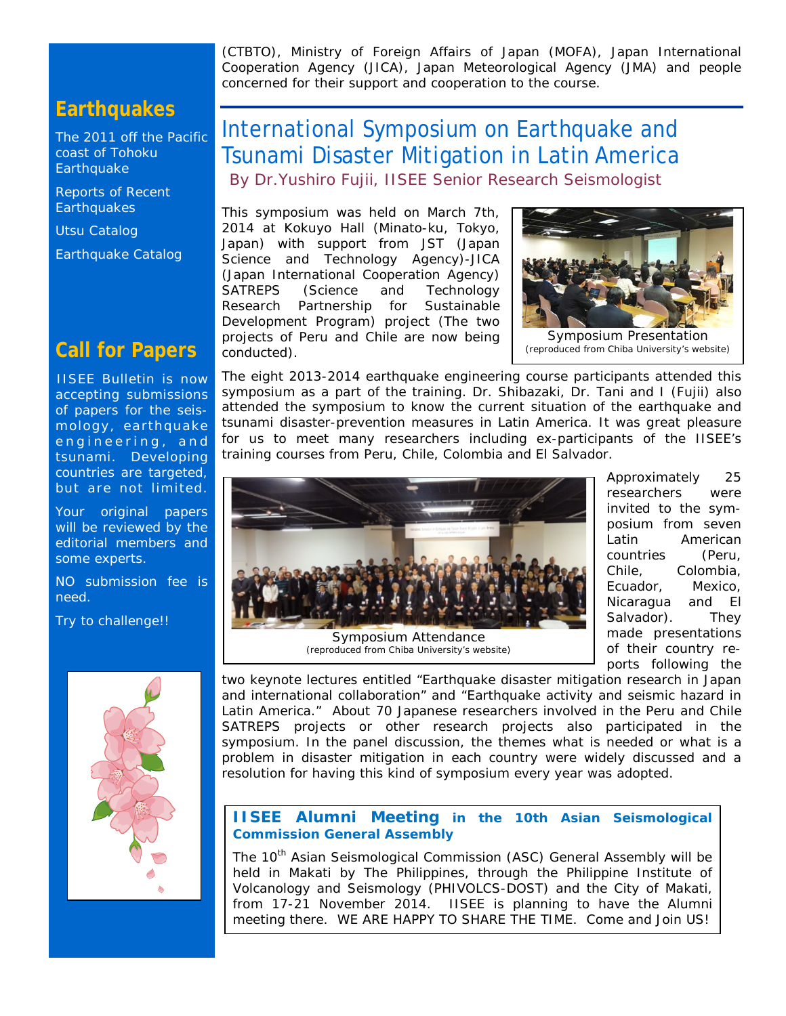(CTBTO), Ministry of Foreign Affairs of Japan (MOFA), Japan International Cooperation Agency (JICA), Japan Meteorological Agency (JMA) and people concerned for their support and cooperation to the course.

### **Earthquakes**

[The 2011 off the Pacific](http://iisee/special2/20110311tohoku.htm)  [coast of Tohoku](http://iisee/special2/20110311tohoku.htm)  **[Earthquake](http://iisee/special2/20110311tohoku.htm)** 

[Reports of Recent](http://iisee/quakes.htm)  **[Earthquakes](http://iisee/quakes.htm)** 

[Utsu Catalog](http://iisee/utsu/index_eng.html)

[Earthquake Catalog](http://iisee/eqcat/Top_page_en.htm)

### **Call for Papers**

IISEE Bulletin is now accepting submissions of papers for the seismology, earthquake engineering, and tsunami. Developing countries are targeted, but are not limited.

Your original papers will be reviewed by the editorial members and some experts.

NO submission fee is need.

Try to challenge!!



### International Symposium on Earthquake and Tsunami Disaster Mitigation in Latin America *By Dr.Yushiro Fujii, IISEE Senior Research Seismologist*

This symposium was held on March 7th, 2014 at Kokuyo Hall (Minato-ku, Tokyo, Japan) with support from JST (Japan Science and Technology Agency)-JICA (Japan International Cooperation Agency) SATREPS (Science and Technology Research Partnership for Sustainable Development Program) project (The two projects of Peru and Chile are now being conducted).



The eight 2013-2014 earthquake engineering course participants attended this symposium as a part of the training. Dr. Shibazaki, Dr. Tani and I (Fujii) also attended the symposium to know the current situation of the earthquake and tsunami disaster-prevention measures in Latin America. It was great pleasure for us to meet many researchers including ex-participants of the IISEE's training courses from Peru, Chile, Colombia and El Salvador.



(reproduced from Chiba University's website)

Approximately 25 researchers were invited to the symposium from seven Latin American countries (Peru, Chile, Colombia, Ecuador, Mexico, Nicaragua and El Salvador). They made presentations of their country reports following the

two keynote lectures entitled "Earthquake disaster mitigation research in Japan and international collaboration" and "Earthquake activity and seismic hazard in Latin America." About 70 Japanese researchers involved in the Peru and Chile SATREPS projects or other research projects also participated in the symposium. In the panel discussion, the themes what is needed or what is a problem in disaster mitigation in each country were widely discussed and a resolution for having this kind of symposium every year was adopted.

#### **IISEE Alumni Meeting in the 10th Asian Seismological Commission General Assembly**

The 10<sup>th</sup> Asian Seismological Commission (ASC) General Assembly will be held in Makati by The Philippines, through the Philippine Institute of Volcanology and Seismology (PHIVOLCS-DOST) and the City of Makati, from 17-21 November 2014. IISEE is planning to have the Alumni meeting there. WE ARE HAPPY TO SHARE THE TIME. Come and Join US!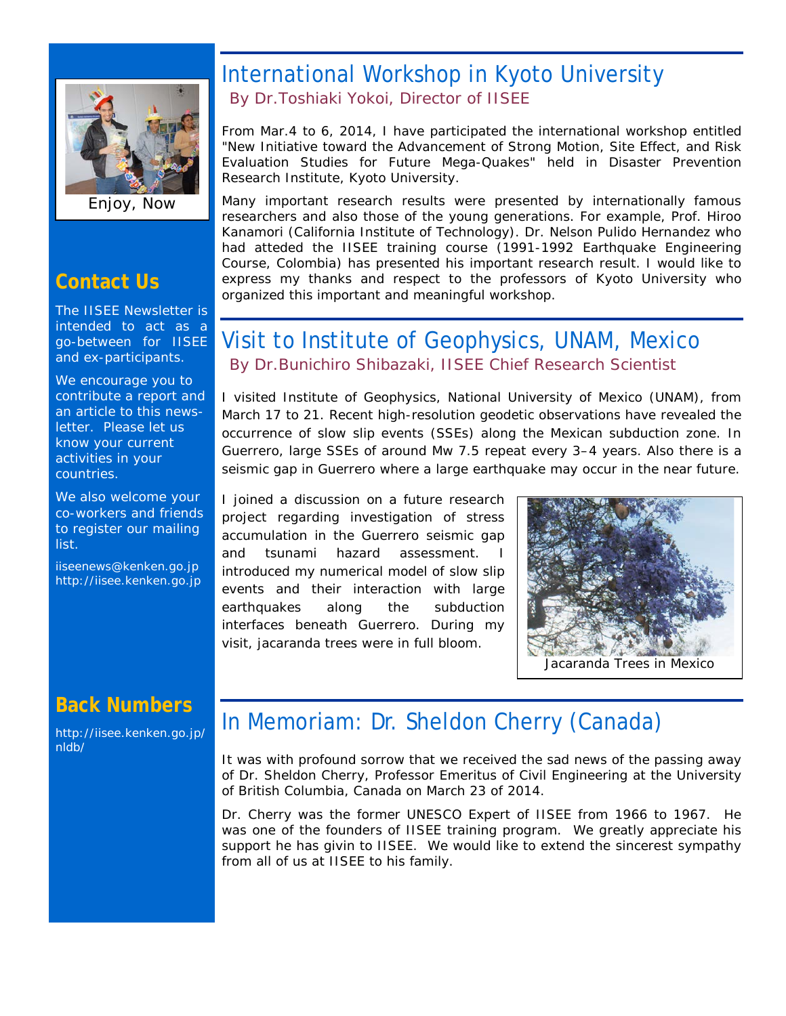

Enjoy, Now

### **Contact Us**

The IISEE Newsletter is intended to act as a go-between for IISEE and ex-participants.

We encourage you to contribute a report and an article to this newsletter. Please let us know your current activities in your countries.

We also welcome your co-workers and friends to register our mailing list.

iiseenews@kenken.go.jp [http://iisee.kenken.go.jp](http://iisee.kenken.go.jp/)

### **Back Numbers**

[http://iisee.kenken.go.jp/](http://iisee.kenken.go.jp/nldb/) [nldb/](http://iisee.kenken.go.jp/nldb/)

### International Workshop in Kyoto University *By Dr.Toshiaki Yokoi, Director of IISEE*

From Mar.4 to 6, 2014, I have participated the international workshop entitled "New Initiative toward the Advancement of Strong Motion, Site Effect, and Risk Evaluation Studies for Future Mega-Quakes" held in Disaster Prevention Research Institute, Kyoto University.

Many important research results were presented by internationally famous researchers and also those of the young generations. For example, Prof. Hiroo Kanamori (California Institute of Technology). Dr. Nelson Pulido Hernandez who had atteded the IISEE training course (1991-1992 Earthquake Engineering Course, Colombia) has presented his important research result. I would like to express my thanks and respect to the professors of Kyoto University who organized this important and meaningful workshop.

### Visit to Institute of Geophysics, UNAM, Mexico *By Dr.Bunichiro Shibazaki, IISEE Chief Research Scientist*

I visited Institute of Geophysics, National University of Mexico (UNAM), from March 17 to 21. Recent high-resolution geodetic observations have revealed the occurrence of slow slip events (SSEs) along the Mexican subduction zone. In Guerrero, large SSEs of around Mw 7.5 repeat every 3–4 years. Also there is a seismic gap in Guerrero where a large earthquake may occur in the near future.

I joined a discussion on a future research project regarding investigation of stress accumulation in the Guerrero seismic gap and tsunami hazard assessment. introduced my numerical model of slow slip events and their interaction with large earthquakes along the subduction interfaces beneath Guerrero. During my visit, jacaranda trees were in full bloom.



### In Memoriam: Dr. Sheldon Cherry (Canada)

It was with profound sorrow that we received the sad news of the passing away of Dr. Sheldon Cherry, Professor Emeritus of Civil Engineering at the University of British Columbia, Canada on March 23 of 2014.

Dr. Cherry was the former UNESCO Expert of IISEE from 1966 to 1967. He was one of the founders of IISEE training program. We greatly appreciate his support he has givin to IISEE. We would like to extend the sincerest sympathy from all of us at IISEE to his family.